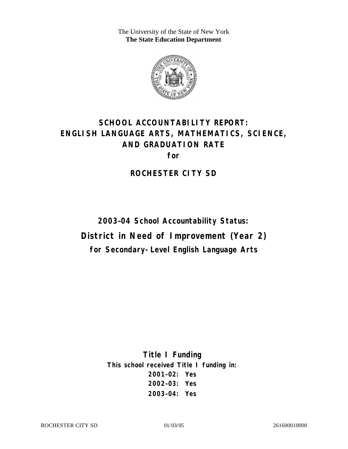The University of the State of New York **The State Education Department**



# **SCHOOL ACCOUNTABILITY REPORT: ENGLISH LANGUAGE ARTS, MATHEMATICS, SCIENCE, AND GRADUATION RATE for**

### **ROCHESTER CITY SD**

**2003–04 School Accountability Status: District in Need of Improvement (Year 2) for Secondary-Level English Language Arts**

> **Title I Funding This school received Title I funding in: 2001–02: Yes 2002–03: Yes 2003–04: Yes**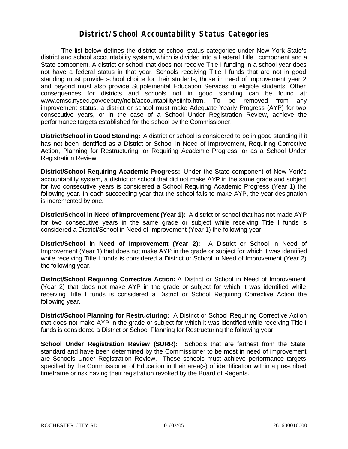### **District/School Accountability Status Categories**

The list below defines the district or school status categories under New York State's district and school accountability system, which is divided into a Federal Title I component and a State component. A district or school that does not receive Title I funding in a school year does not have a federal status in that year. Schools receiving Title I funds that are not in good standing must provide school choice for their students; those in need of improvement year 2 and beyond must also provide Supplemental Education Services to eligible students. Other consequences for districts and schools not in good standing can be found at: www.emsc.nysed.gov/deputy/nclb/accountability/siinfo.htm. To be removed from any improvement status, a district or school must make Adequate Yearly Progress (AYP) for two consecutive years, or in the case of a School Under Registration Review, achieve the performance targets established for the school by the Commissioner.

**District/School in Good Standing:** A district or school is considered to be in good standing if it has not been identified as a District or School in Need of Improvement, Requiring Corrective Action, Planning for Restructuring, or Requiring Academic Progress, or as a School Under Registration Review.

**District/School Requiring Academic Progress:** Under the State component of New York's accountability system, a district or school that did not make AYP in the same grade and subject for two consecutive years is considered a School Requiring Academic Progress (Year 1) the following year. In each succeeding year that the school fails to make AYP, the year designation is incremented by one.

**District/School in Need of Improvement (Year 1):** A district or school that has not made AYP for two consecutive years in the same grade or subject while receiving Title I funds is considered a District/School in Need of Improvement (Year 1) the following year.

**District/School in Need of Improvement (Year 2):** A District or School in Need of Improvement (Year 1) that does not make AYP in the grade or subject for which it was identified while receiving Title I funds is considered a District or School in Need of Improvement (Year 2) the following year.

**District/School Requiring Corrective Action:** A District or School in Need of Improvement (Year 2) that does not make AYP in the grade or subject for which it was identified while receiving Title I funds is considered a District or School Requiring Corrective Action the following year.

**District/School Planning for Restructuring:** A District or School Requiring Corrective Action that does not make AYP in the grade or subject for which it was identified while receiving Title I funds is considered a District or School Planning for Restructuring the following year.

**School Under Registration Review (SURR):** Schools that are farthest from the State standard and have been determined by the Commissioner to be most in need of improvement are Schools Under Registration Review. These schools must achieve performance targets specified by the Commissioner of Education in their area(s) of identification within a prescribed timeframe or risk having their registration revoked by the Board of Regents.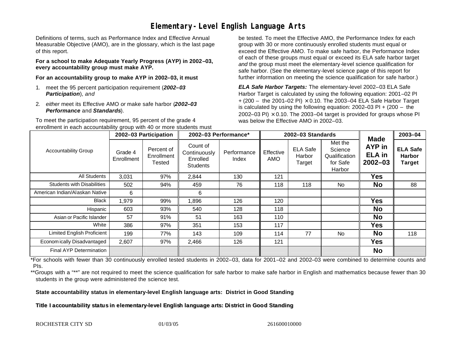## **Elementary-Level English Language Arts**

Definitions of terms, such as Performance Index and Effective Annual Measurable Objective (AMO), are in the glossary, which is the last page of this report.

#### **For a school to make Adequate Yearly Progress (AYP) in 2002–03, every accountability group must make AYP.**

**For an accountability group to make AYP in 2002–03, it must** 

- 1. meet the 95 percent participation requirement (*2002–03 Participation*), *and*
- 2. *either* meet its Effective AMO *or* make safe harbor (*2002–03 Performance* and *Standards*).

To meet the participation requirement, 95 percent of the grade 4 enrollment in each accountability group with 40 or more students must be tested. To meet the Effective AMO, the Performance Index for each group with 30 or more continuously enrolled students must equal or exceed the Effective AMO. To make safe harbor, the Performance Index of each of these groups must equal or exceed its ELA safe harbor target *and* the group must meet the elementary-level science qualification for safe harbor. (See the elementary-level science page of this report for further information on meeting the science qualification for safe harbor.)

*ELA Safe Harbor Targets:* The elementary-level 2002–03 ELA Safe Harbor Target is calculated by using the following equation: 2001–02 PI  $+ (200 -$  the 2001–02 PI)  $\times$  0.10. The 2003–04 ELA Safe Harbor Target is calculated by using the following equation:  $2002-03$  PI +  $(200 -$  the 2002–03 PI)  $\times$  0.10. The 2003–04 target is provided for groups whose PI was below the Effective AMO in 2002–03.

|                                   | 2002-03 Participation |                                    | 2002-03 Performance*                                    |                      |                  | 2002-03 Standards                   | Made                                                      | 2003-04                                |                                                   |
|-----------------------------------|-----------------------|------------------------------------|---------------------------------------------------------|----------------------|------------------|-------------------------------------|-----------------------------------------------------------|----------------------------------------|---------------------------------------------------|
| <b>Accountability Group</b>       | Grade 4<br>Enrollment | Percent of<br>Enrollment<br>Tested | Count of<br>Continuously<br>Enrolled<br><b>Students</b> | Performance<br>Index | Effective<br>AMO | <b>ELA Safe</b><br>Harbor<br>Target | Met the<br>Science<br>Qualification<br>for Safe<br>Harbor | <b>AYP</b> in<br>ELA in<br>$2002 - 03$ | <b>ELA Safe</b><br><b>Harbor</b><br><b>Target</b> |
| All Students                      | 3,031                 | 97%                                | 2,844                                                   | 130                  | 121              |                                     |                                                           | Yes                                    |                                                   |
| <b>Students with Disabilities</b> | 502                   | 94%                                | 459                                                     | 76                   | 118              | 118                                 | No                                                        | <b>No</b>                              | 88                                                |
| American Indian/Alaskan Native    | 6                     |                                    | 6                                                       |                      |                  |                                     |                                                           |                                        |                                                   |
| Black                             | 1,979                 | 99%                                | 1,896                                                   | 126                  | 120              |                                     |                                                           | <b>Yes</b>                             |                                                   |
| Hispanic                          | 603                   | 93%                                | 540                                                     | 128                  | 118              |                                     |                                                           | <b>No</b>                              |                                                   |
| Asian or Pacific Islander         | 57                    | 91%                                | 51                                                      | 163                  | 110              |                                     |                                                           | <b>No</b>                              |                                                   |
| White                             | 386                   | 97%                                | 351                                                     | 153                  | 117              |                                     |                                                           | Yes                                    |                                                   |
| Limited English Proficient        | 199                   | 77%                                | 143                                                     | 109                  | 114              | 77                                  | No                                                        | <b>No</b>                              | 118                                               |
| Econom ically Disadvantaged       | 2,607                 | 97%                                | 2,466                                                   | 126                  | 121              |                                     |                                                           | Yes                                    |                                                   |
| <b>Final AYP Determination</b>    |                       |                                    |                                                         |                      |                  |                                     |                                                           | <b>No</b>                              |                                                   |

\*For schools with fewer than 30 continuously enrolled tested students in 2002–03, data for 2001–02 and 2002–03 were combined to determine counts and PIs.

\*\*Groups with a "\*\*" are not required to meet the science qualification for safe harbor to make safe harbor in English and mathematics because fewer than 30 students in the group were administered the science test.

**State accountability status in elementary-level English language arts: District in Good Standing**

**Title I** accountability status in elementary-level **English** language arts: District in Good Standing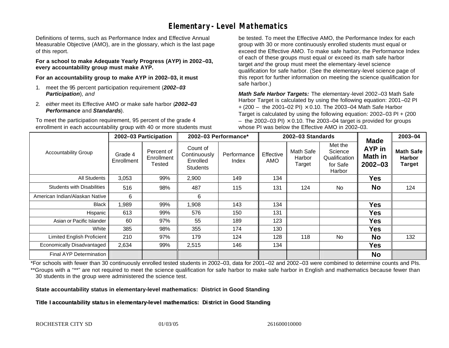### **Elementary-Level Mathematics**

Definitions of terms, such as Performance Index and Effective Annual Measurable Objective (AMO), are in the glossary, which is the last page of this report.

#### **For a school to make Adequate Yearly Progress (AYP) in 2002–03, every accountability group must make AYP.**

**For an accountability group to make AYP in 2002–03, it must** 

- 1. meet the 95 percent participation requirement (*2002–03 Participation*), *and*
- 2. *either* meet its Effective AMO *or* make safe harbor (*2002–03 Performance* and *Standards*).

To meet the participation requirement, 95 percent of the grade 4 enrollment in each accountability group with 40 or more students must be tested. To meet the Effective AMO, the Performance Index for each group with 30 or more continuously enrolled students must equal or exceed the Effective AMO. To make safe harbor, the Performance Index of each of these groups must equal or exceed its math safe harbor target *and* the group must meet the elementary -level science qualification for safe harbor. (See the elementary-level science page of this report for further information on meeting the science qualification for safe harbor.)

*Math Safe Harbor Targets:* The elementary -level 2002–03 Math Safe Harbor Target is calculated by using the following equation: 2001–02 PI  $+ (200 -$  the 2001–02 PI)  $\times$  0.10. The 2003–04 Math Safe Harbor Target is calculated by using the following equation: 2002–03 PI + (200 – the 2002–03 PI)  $\times$  0.10. The 2003–04 target is provided for groups whose PI was below the Effective AMO in 2002–03.

|                                   | 2002-03 Participation |                                    | 2002-03 Performance*                                    |                      |                  | 2002-03 Standards             | <b>Made</b>                                               | 2003-04                                 |                                                    |
|-----------------------------------|-----------------------|------------------------------------|---------------------------------------------------------|----------------------|------------------|-------------------------------|-----------------------------------------------------------|-----------------------------------------|----------------------------------------------------|
| <b>Accountability Group</b>       | Grade 4<br>Enrollment | Percent of<br>Enrollment<br>Tested | Count of<br>Continuously<br>Enrolled<br><b>Students</b> | Performance<br>Index | Effective<br>AMO | Math Safe<br>Harbor<br>Target | Met the<br>Science<br>Qualification<br>for Safe<br>Harbor | AYP in<br><b>Math in</b><br>$2002 - 03$ | <b>Math Safe</b><br><b>Harbor</b><br><b>Target</b> |
| All Students                      | 3,053                 | 99%                                | 2,900                                                   | 149                  | 134              |                               |                                                           | <b>Yes</b>                              |                                                    |
| <b>Students with Disabilities</b> | 516                   | 98%                                | 487                                                     | 115                  | 131              | 124                           | <b>No</b>                                                 | <b>No</b>                               | 124                                                |
| American Indian/Alaskan Native    | 6                     |                                    | 6                                                       |                      |                  |                               |                                                           |                                         |                                                    |
| <b>Black</b>                      | 1,989                 | 99%                                | 1,908                                                   | 143                  | 134              |                               |                                                           | <b>Yes</b>                              |                                                    |
| Hispanic                          | 613                   | 99%                                | 576                                                     | 150                  | 131              |                               |                                                           | <b>Yes</b>                              |                                                    |
| Asian or Pacific Islander         | 60                    | 97%                                | 55                                                      | 189                  | 123              |                               |                                                           | <b>Yes</b>                              |                                                    |
| White                             | 385                   | 98%                                | 355                                                     | 174                  | 130              |                               |                                                           | Yes                                     |                                                    |
| Limited English Proficient        | 210                   | 97%                                | 179                                                     | 124                  | 128              | 118                           | N <sub>o</sub>                                            | <b>No</b>                               | 132                                                |
| Economically Disadvantaged        | 2,634                 | 99%                                | 2,515                                                   | 146                  | 134              |                               |                                                           | <b>Yes</b>                              |                                                    |
| Final AYP Determination           |                       |                                    |                                                         |                      |                  |                               |                                                           | <b>No</b>                               |                                                    |

\*For schools with fewer than 30 continuously enrolled tested students in 2002–03, data for 2001–02 and 2002–03 were combined to determine counts and PIs. \*\*Groups with a "\*\*" are not required to meet the science qualification for safe harbor to make safe harbor in English and mathematics because fewer than 30 students in the group were administered the science test.

**State accountability status in elementary-level mathematics: District in Good Standing**

**Title I** accountability status in elementary-level mathematics: District in Good Standing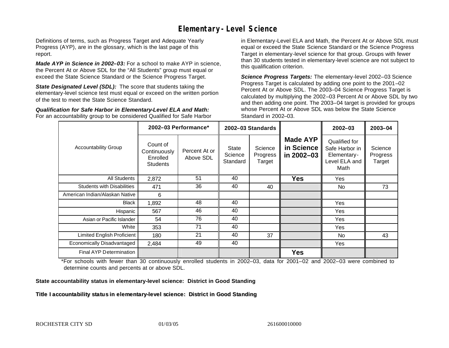### **Elementary-Level Science**

Definitions of terms, such as Progress Target and Adequate Yearly Progress (AYP), are in the glossary, which is the last page of this report.

*Made AYP in Science in 2002–03:* For a school to make AYP in science, the Percent At or Above SDL for the "All Students" group must equal or exceed the State Science Standard or the Science Progress Target.

**State Designated Level (SDL):** The score that students taking the elementary-level science test must equal or exceed on the written portion of the test to meet the State Science Standard.

*Qualification for Safe Harbor in Elementary-Level ELA and Math:* For an accountability group to be considered Qualified for Safe Harbor in Elementary-Level ELA and Math, the Percent At or Above SDL must equal or exceed the State Science Standard or the Science Progress Target in elementary-level science for that group. Groups with fewer than 30 students tested in elementary-level science are not subject to this qualification criterion.

*Science Progress Targets:* The elementary-level 2002–03 Science Progress Target is calculated by adding one point to the 2001–02 Percent At or Above SDL. The 2003–04 Science Progress Target is calculated by multiplying the 2002–03 Percent At or Above SDL by two and then adding one point. The 2003–04 target is provided for groups whose Percent At or Above SDL was below the State Science Standard in 2002–03.

|                                   |                                                         | 2002-03 Performance*       |                              | 2002-03 Standards             |                                             | $2002 - 03$                                                             | 2003-04                       |
|-----------------------------------|---------------------------------------------------------|----------------------------|------------------------------|-------------------------------|---------------------------------------------|-------------------------------------------------------------------------|-------------------------------|
| <b>Accountability Group</b>       | Count of<br>Continuously<br>Enrolled<br><b>Students</b> | Percent At or<br>Above SDL | State<br>Science<br>Standard | Science<br>Progress<br>Target | <b>Made AYP</b><br>in Science<br>in 2002-03 | Qualified for<br>Safe Harbor in<br>Elementary-<br>Level ELA and<br>Math | Science<br>Progress<br>Target |
| All Students                      | 2,872                                                   | 51                         | 40                           |                               | <b>Yes</b>                                  | Yes                                                                     |                               |
| <b>Students with Disabilities</b> | 471                                                     | 36                         | 40                           | 40                            |                                             | No.                                                                     | 73                            |
| American Indian/Alaskan Native    | 6                                                       |                            |                              |                               |                                             |                                                                         |                               |
| <b>Black</b>                      | 1,892                                                   | 48                         | 40                           |                               |                                             | Yes                                                                     |                               |
| Hispanic                          | 567                                                     | 46                         | 40                           |                               |                                             | Yes                                                                     |                               |
| Asian or Pacific Islander         | 54                                                      | 76                         | 40                           |                               |                                             | <b>Yes</b>                                                              |                               |
| White                             | 353                                                     | 71                         | 40                           |                               |                                             | Yes                                                                     |                               |
| Limited English Proficient        | 180                                                     | 21                         | 40                           | 37                            |                                             | <b>No</b>                                                               | 43                            |
| Economically Disadvantaged        | 2,484                                                   | 49                         | 40                           |                               |                                             | Yes                                                                     |                               |
| <b>Final AYP Determination</b>    |                                                         |                            |                              |                               | <b>Yes</b>                                  |                                                                         |                               |

\*For schools with fewer than 30 continuously enrolled students in 2002–03, data for 2001–02 and 2002–03 were combined to determine counts and percents at or above SDL.

#### **State accountability status in elementary-level science: District in Good Standing**

#### **Tiitlle II accountabiilliity statusiin ellementary-llevell sciience:: Diistriict iin Good Standiing**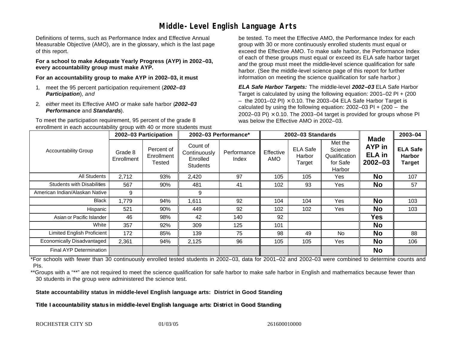### **Middle-Level English Language Arts**

Definitions of terms, such as Performance Index and Effective Annual Measurable Objective (AMO), are in the glossary, which is the last page of this report.

#### **For a school to make Adequate Yearly Progress (AYP) in 2002–03, every accountability group must make AYP.**

**For an accountability group to make AYP in 2002–03, it must** 

- 1. meet the 95 percent participation requirement (*2002–03 Participation*), *and*
- 2. *either* meet its Effective AMO *or* make safe harbor (*2002–03 Performance* and *Standards*).

To meet the participation requirement, 95 percent of the grade 8 enrollment in each accountability group with 40 or more students must be tested. To meet the Effective AMO, the Performance Index for each group with 30 or more continuously enrolled students must equal or exceed the Effective AMO. To make safe harbor, the Performance Index of each of these groups must equal or exceed its ELA safe harbor target *and* the group must meet the middle-level science qualification for safe harbor. (See the middle-level science page of this report for further information on meeting the science qualification for safe harbor.)

*ELA Safe Harbor Targets:* The middle-level *2002–03* ELA Safe Harbor Target is calculated by using the following equation: 2001–02 PI + (200 – the 2001–02 PI)  $\times$  0.10. The 2003–04 ELA Safe Harbor Target is calculated by using the following equation:  $2002-03$  PI +  $(200 -$  the 2002–03 PI)  $\times$  0.10. The 2003–04 target is provided for groups whose PI was below the Effective AMO in 2002–03.

|                                   | 2002-03 Participation |                                    | 2002-03 Performance*                                    |                      |                  | 2002-03 Standards                   | <b>Made</b>                                               | 2003-04                                |                                                   |
|-----------------------------------|-----------------------|------------------------------------|---------------------------------------------------------|----------------------|------------------|-------------------------------------|-----------------------------------------------------------|----------------------------------------|---------------------------------------------------|
| <b>Accountability Group</b>       | Grade 8<br>Enrollment | Percent of<br>Enrollment<br>Tested | Count of<br>Continuously<br>Enrolled<br><b>Students</b> | Performance<br>Index | Effective<br>AMO | <b>ELA Safe</b><br>Harbor<br>Target | Met the<br>Science<br>Qualification<br>for Safe<br>Harbor | AYP in<br><b>ELA</b> in<br>$2002 - 03$ | <b>ELA Safe</b><br><b>Harbor</b><br><b>Target</b> |
| All Students                      | 2,712                 | 93%                                | 2,420                                                   | 97                   | 105              | 105                                 | Yes                                                       | <b>No</b>                              | 107                                               |
| <b>Students with Disabilities</b> | 567                   | 90%                                | 481                                                     | 41                   | 102              | 93                                  | Yes                                                       | <b>No</b>                              | 57                                                |
| American Indian/Alaskan Native    | 9                     |                                    | 9                                                       |                      |                  |                                     |                                                           |                                        |                                                   |
| Black                             | 1,779                 | 94%                                | 1,611                                                   | 92                   | 104              | 104                                 | Yes                                                       | <b>No</b>                              | 103                                               |
| Hispanic                          | 521                   | 90%                                | 449                                                     | 92                   | 102              | 102                                 | Yes                                                       | <b>No</b>                              | 103                                               |
| Asian or Pacific Islander         | 46                    | 98%                                | 42                                                      | 140                  | 92               |                                     |                                                           | <b>Yes</b>                             |                                                   |
| White                             | 357                   | 92%                                | 309                                                     | 125                  | 101              |                                     |                                                           | <b>No</b>                              |                                                   |
| <b>Limited English Proficient</b> | 172                   | 85%                                | 139                                                     | 75                   | 98               | 49                                  | No                                                        | <b>No</b>                              | 88                                                |
| Economically Disadvantaged        | 2,361                 | 94%                                | 2,125                                                   | 96                   | 105              | 105                                 | Yes                                                       | <b>No</b>                              | 106                                               |
| <b>Final AYP Determination</b>    |                       |                                    |                                                         |                      |                  |                                     |                                                           | <b>No</b>                              |                                                   |

\*For schools with fewer than 30 continuously enrolled tested students in 2002–03, data for 2001–02 and 2002–03 were combined to determine counts and PIs.

\*\*Groups with a "\*\*" are not required to meet the science qualification for safe harbor to make safe harbor in English and mathematics because fewer than 30 students in the group were administered the science test.

**State accountability status in middle-level English language arts: District in Good Standing**

**Title I** accountability status in middle-level English language arts: District in Good Standing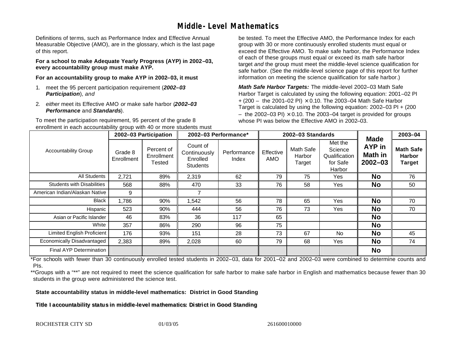### **Middle-Level Mathematics**

Definitions of terms, such as Performance Index and Effective Annual Measurable Objective (AMO), are in the glossary, which is the last page of this report.

**For a school to make Adequate Yearly Progress (AYP) in 2002–03, every accountability group must make AYP.**

**For an accountability group to make AYP in 2002–03, it must** 

- 1. meet the 95 percent participation requirement (*2002–03 Participation*), *and*
- 2. *either* meet its Effective AMO *or* make safe harbor (*2002–03 Performance* and *Standards*).

To meet the participation requirement, 95 percent of the grade 8 enrollment in each accountability group with 40 or more students must be tested. To meet the Effective AMO, the Performance Index for each group with 30 or more continuously enrolled students must equal or exceed the Effective AMO. To make safe harbor, the Performance Index of each of these groups must equal or exceed its math safe harbor target *and* the group must meet the middle-level science qualification for safe harbor. (See the middle-level science page of this report for further information on meeting the science qualification for safe harbor.)

*Math Safe Harbor Targets:* The middle-level 2002–03 Math Safe Harbor Target is calculated by using the following equation: 2001–02 PI + (200 – the 2001–02 PI)  $\times$  0.10. The 2003–04 Math Safe Harbor Target is calculated by using the following equation: 2002–03 PI + (200 – the 2002–03 PI)  $\times$  0.10. The 2003–04 target is provided for groups whose PI was below the Effective AMO in 2002–03.

|                                   | 2002-03 Participation |                                    | 2002-03 Performance*                                    |                      |                  | 2002-03 Standards             | <b>Made</b>                                               | 2003-04                                 |                                                    |
|-----------------------------------|-----------------------|------------------------------------|---------------------------------------------------------|----------------------|------------------|-------------------------------|-----------------------------------------------------------|-----------------------------------------|----------------------------------------------------|
| <b>Accountability Group</b>       | Grade 8<br>Enrollment | Percent of<br>Enrollment<br>Tested | Count of<br>Continuously<br>Enrolled<br><b>Students</b> | Performance<br>Index | Effective<br>AMO | Math Safe<br>Harbor<br>Target | Met the<br>Science<br>Qualification<br>for Safe<br>Harbor | AYP in<br><b>Math in</b><br>$2002 - 03$ | <b>Math Safe</b><br><b>Harbor</b><br><b>Target</b> |
| All Students                      | 2,721                 | 89%                                | 2,319                                                   | 62                   | 79               | 75                            | Yes                                                       | <b>No</b>                               | 76                                                 |
| <b>Students with Disabilities</b> | 568                   | 88%                                | 470                                                     | 33                   | 76               | 58                            | Yes                                                       | <b>No</b>                               | 50                                                 |
| American Indian/Alaskan Native    | 9                     |                                    |                                                         |                      |                  |                               |                                                           |                                         |                                                    |
| <b>Black</b>                      | 1,786                 | 90%                                | 1,542                                                   | 56                   | 78               | 65                            | Yes                                                       | <b>No</b>                               | 70                                                 |
| Hispanic                          | 523                   | 90%                                | 444                                                     | 56                   | 76               | 73                            | Yes                                                       | <b>No</b>                               | 70                                                 |
| Asian or Pacific Islander         | 46                    | 83%                                | 36                                                      | 117                  | 65               |                               |                                                           | No                                      |                                                    |
| White                             | 357                   | 86%                                | 290                                                     | 96                   | 75               |                               |                                                           | <b>No</b>                               |                                                    |
| <b>Limited English Proficient</b> | 176                   | 93%                                | 151                                                     | 28                   | 73               | 67                            | No.                                                       | <b>No</b>                               | 45                                                 |
| Economically Disadvantaged        | 2,383                 | 89%                                | 2,028                                                   | 60                   | 79               | 68                            | Yes                                                       | <b>No</b>                               | 74                                                 |
| Final AYP Determination           |                       |                                    |                                                         |                      |                  |                               |                                                           | <b>No</b>                               |                                                    |

\*For schools with fewer than 30 continuously enrolled tested students in 2002–03, data for 2001–02 and 2002–03 were combined to determine counts and PIs.

\*\*Groups with a "\*\*" are not required to meet the science qualification for safe harbor to make safe harbor in English and mathematics because fewer than 30 students in the group were administered the science test.

**State accountability status in middle-level mathematics: District in Good Standing**

**Title I** accountability status in middle-level mathematics: District in Good Standing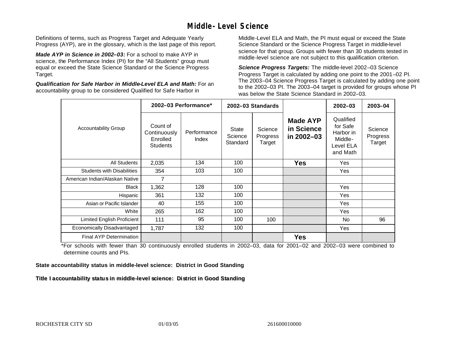### **Middle-Level Science**

Definitions of terms, such as Progress Target and Adequate Yearly Progress (AYP), are in the glossary, which is the last page of this report.

*Made AYP in Science in 2002–03:* For a school to make AYP in science, the Performance Index (PI) for the "All Students" group must equal or exceed the State Science Standard or the Science Progress Target.

*Qualification for Safe Harbor in Middle-Level ELA and Math:* For an accountability group to be considered Qualified for Safe Harbor in

Middle-Level ELA and Math, the PI must equal or exceed the State Science Standard or the Science Progress Target in middle-level science for that group. Groups with fewer than 30 students tested in middle-level science are not subject to this qualification criterion.

*Science Progress Targets:* The middle-level 2002–03 Science Progress Target is calculated by adding one point to the 2001–02 PI. The 2003–04 Science Progress Target is calculated by adding one point to the 2002–03 PI. The 2003–04 target is provided for groups whose PI was below the State Science Standard in 2002–03.

|                                   | 2002-03 Performance*                                    |                      |                              | 2002-03 Standards             |                                             | $2002 - 03$                                                            | 2003-04                       |
|-----------------------------------|---------------------------------------------------------|----------------------|------------------------------|-------------------------------|---------------------------------------------|------------------------------------------------------------------------|-------------------------------|
| <b>Accountability Group</b>       | Count of<br>Continuously<br>Enrolled<br><b>Students</b> | Performance<br>Index | State<br>Science<br>Standard | Science<br>Progress<br>Target | <b>Made AYP</b><br>in Science<br>in 2002-03 | Qualified<br>for Safe<br>Harbor in<br>Middle-<br>Level ELA<br>and Math | Science<br>Progress<br>Target |
| All Students                      | 2,035                                                   | 134                  | 100                          |                               | <b>Yes</b>                                  | Yes.                                                                   |                               |
| <b>Students with Disabilities</b> | 354                                                     | 103                  | 100                          |                               |                                             | Yes                                                                    |                               |
| American Indian/Alaskan Native    | 7                                                       |                      |                              |                               |                                             |                                                                        |                               |
| <b>Black</b>                      | 1,362                                                   | 128                  | 100                          |                               |                                             | Yes                                                                    |                               |
| Hispanic                          | 361                                                     | 132                  | 100                          |                               |                                             | Yes                                                                    |                               |
| Asian or Pacific Islander         | 40                                                      | 155                  | 100                          |                               |                                             | Yes                                                                    |                               |
| White                             | 265                                                     | 162                  | 100                          |                               |                                             | Yes                                                                    |                               |
| Limited English Proficient        | 111                                                     | 95                   | 100                          | 100                           |                                             | <b>No</b>                                                              | 96                            |
| Economically Disadvantaged        | 1,787                                                   | 132                  | 100                          |                               |                                             | Yes                                                                    |                               |
| <b>Final AYP Determination</b>    |                                                         |                      |                              |                               | <b>Yes</b>                                  |                                                                        |                               |

\*For schools with fewer than 30 continuously enrolled students in 2002–03, data for 2001–02 and 2002–03 were combined to determine counts and PIs.

**State accountability status in middle-level science: District in Good Standing**

**Title I** accountability status in middle-level science: District in Good Standing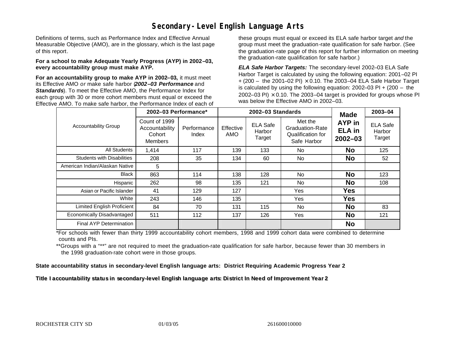## **Secondary-Level English Language Arts**

Definitions of terms, such as Performance Index and Effective Annual Measurable Objective (AMO), are in the glossary, which is the last page of this report.

#### **For a school to make Adequate Yearly Progress (AYP) in 2002–03, every accountability group must make AYP.**

**For an accountability group to make AYP in 2002–03,** it must meet its Effective AMO *or* make safe harbor (*2002–03 Performance* and *Standards*). To meet the Effective AMO, the Performance Index for each group with 30 or more cohort members must equal or exceed the Effective AMO. To make safe harbor, the Performance Index of each of these groups must equal or exceed its ELA safe harbor target *and* the group must meet the graduation-rate qualification for safe harbor. (See the graduation-rate page of this report for further information on meeting the graduation-rate qualification for safe harbor.)

*ELA Safe Harbor Targets:* The secondary-level 2002–03 ELA Safe Harbor Target is calculated by using the following equation: 2001–02 PI  $+$  (200 – the 2001–02 PI)  $\times$  0.10. The 2003–04 ELA Safe Harbor Target is calculated by using the following equation: 2002–03 PI + (200 – the 2002–03 PI)  $\times$  0.10. The 2003–04 target is provided for groups whose PI was below the Effective AMO in 2002–03.

|                                   | 2002-03 Performance*                                        |                                          | 2002-03 Standards | <b>Made</b>                         | 2003-04                                                               |                                        |                                     |
|-----------------------------------|-------------------------------------------------------------|------------------------------------------|-------------------|-------------------------------------|-----------------------------------------------------------------------|----------------------------------------|-------------------------------------|
| <b>Accountability Group</b>       | Count of 1999<br>Accountability<br>Cohort<br><b>Members</b> | Effective<br>Performance<br>AMO<br>Index |                   | <b>ELA Safe</b><br>Harbor<br>Target | Met the<br><b>Graduation-Rate</b><br>Qualification for<br>Safe Harbor | AYP in<br><b>ELA</b> in<br>$2002 - 03$ | <b>ELA Safe</b><br>Harbor<br>Target |
| All Students                      | 1.414                                                       | 117                                      | 139               | 133                                 | No.                                                                   | <b>No</b>                              | 125                                 |
| <b>Students with Disabilities</b> | 208                                                         | 35                                       | 134               | 60                                  | No.                                                                   | <b>No</b>                              | 52                                  |
| American Indian/Alaskan Native    | 5                                                           |                                          |                   |                                     |                                                                       |                                        |                                     |
| <b>Black</b>                      | 863                                                         | 114                                      | 138               | 128                                 | No.                                                                   | <b>No</b>                              | 123                                 |
| Hispanic                          | 262                                                         | 98                                       | 135               | 121                                 | No.                                                                   | <b>No</b>                              | 108                                 |
| Asian or Pacific Islander         | 41                                                          | 129                                      | 127               |                                     | Yes                                                                   | <b>Yes</b>                             |                                     |
| White                             | 243                                                         | 146                                      | 135               |                                     | Yes                                                                   | <b>Yes</b>                             |                                     |
| Limited English Proficient        | 84                                                          | 70                                       | 131               | 115                                 | No.                                                                   | <b>No</b>                              | 83                                  |
| Economically Disadvantaged        | 511                                                         | 112                                      | 137               | 126                                 | <b>Yes</b>                                                            | <b>No</b>                              | 121                                 |
| <b>Final AYP Determination</b>    |                                                             |                                          |                   |                                     |                                                                       | <b>No</b>                              |                                     |

\*For schools with fewer than thirty 1999 accountability cohort members, 1998 and 1999 cohort data were combined to determine counts and PIs.

\*\*Groups with a "\*\*" are not required to meet the graduation-rate qualification for safe harbor, because fewer than 30 members in the 1998 graduation-rate cohort were in those groups.

**State accountability status in secondary-level English language arts: District Requiring Academic Progress Year 2**

Title I accountability status in secondary-level English language arts: District In Need of Improvement Year 2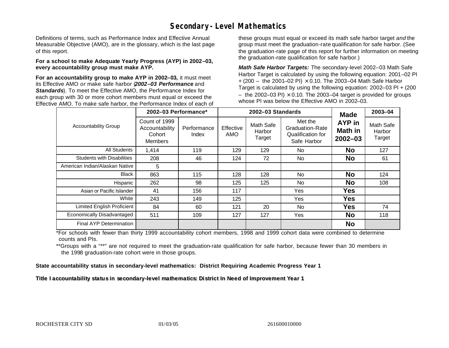### **Secondary-Level Mathematics**

Definitions of terms, such as Performance Index and Effective Annual Measurable Objective (AMO), are in the glossary, which is the last page of this report.

#### **For a school to make Adequate Yearly Progress (AYP) in 2002–03, every accountability group must make AYP.**

**For an accountability group to make AYP in 2002–03,** it must meet its Effective AMO *or* make safe harbor (*2002–03 Performance* and *Standards*). To meet the Effective AMO, the Performance Index for each group with 30 or more cohort members must equal or exceed the Effective AMO. To make safe harbor, the Performance Index of each of these groups must equal or exceed its math safe harbor target *and* the group must meet the graduation-rate qualification for safe harbor. (See the graduation-rate page of this report for further information on meeting the graduation-rate qualification for safe harbor.)

*Math Safe Harbor Targets:* The secondary-level 2002–03 Math Safe Harbor Target is calculated by using the following equation: 2001–02 PI + (200 – the 2001–02 PI)  $\times$  0.10. The 2003–04 Math Safe Harbor Target is calculated by using the following equation: 2002–03 PI + (200 – the 2002–03 PI)  $\times$  0.10. The 2003–04 target is provided for groups whose PI was below the Effective AMO in 2002–03.

|                                   | 2002-03 Performance*                                 |                                                                                  | 2002-03 Standards | <b>Made</b>                                                           | 2003-04                          |                                      |     |
|-----------------------------------|------------------------------------------------------|----------------------------------------------------------------------------------|-------------------|-----------------------------------------------------------------------|----------------------------------|--------------------------------------|-----|
| <b>Accountability Group</b>       | Count of 1999<br>Accountability<br>Cohort<br>Members | <b>Math Safe</b><br>Effective<br>Performance<br>Harbor<br>AMO<br>Index<br>Target |                   | Met the<br><b>Graduation-Rate</b><br>Qualification for<br>Safe Harbor | AYP in<br>Math in<br>$2002 - 03$ | <b>Math Safe</b><br>Harbor<br>Target |     |
| All Students                      | 1,414                                                | 119                                                                              | 129               | 129                                                                   | No.                              | <b>No</b>                            | 127 |
| <b>Students with Disabilities</b> | 208                                                  | 46                                                                               | 124               | 72                                                                    | No.                              | <b>No</b>                            | 61  |
| American Indian/Alaskan Native    | 5                                                    |                                                                                  |                   |                                                                       |                                  |                                      |     |
| <b>Black</b>                      | 863                                                  | 115                                                                              | 128               | 128                                                                   | No                               | <b>No</b>                            | 124 |
| Hispanic                          | 262                                                  | 98                                                                               | 125               | 125                                                                   | No.                              | <b>No</b>                            | 108 |
| Asian or Pacific Islander         | 41                                                   | 156                                                                              | 117               |                                                                       | Yes                              | <b>Yes</b>                           |     |
| White                             | 243                                                  | 149                                                                              | 125               |                                                                       | <b>Yes</b>                       | Yes                                  |     |
| <b>Limited English Proficient</b> | 84                                                   | 60                                                                               | 121               | 20                                                                    | No.                              | Yes                                  | 74  |
| Economically Disadvantaged        | 511                                                  | 109                                                                              | 127               | 127                                                                   | Yes                              | <b>No</b>                            | 118 |
| <b>Final AYP Determination</b>    |                                                      |                                                                                  |                   |                                                                       |                                  | <b>No</b>                            |     |

\*For schools with fewer than thirty 1999 accountability cohort members, 1998 and 1999 cohort data were combined to determine counts and PIs.

\*\*Groups with a "\*\*" are not required to meet the graduation-rate qualification for safe harbor, because fewer than 30 members in the 1998 graduation-rate cohort were in those groups.

**State accountability status in secondary-level mathematics: District Requiring Academic Progress Year 1**

 **Title I** accountability status in secondary-level mathematics: District In Need of Improvement Year 1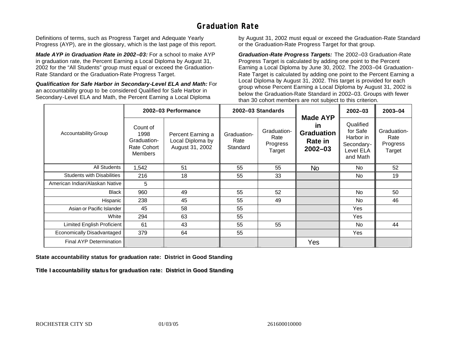## **Graduation Rate**

Definitions of terms, such as Progress Target and Adequate Yearly Progress (AYP), are in the glossary, which is the last page of this report.

*Made AYP in Graduation Rate in 2002–03:* For a school to make AYP in graduation rate, the Percent Earning a Local Diploma by August 31, 2002 for the "All Students" group must equal or exceed the Graduation-Rate Standard or the Graduation-Rate Progress Target.

*Qualification for Safe Harbor in Secondary-Level ELA and Math:* For an accountability group to be considered Qualified for Safe Harbor in Secondary-Level ELA and Math, the Percent Earning a Local Diploma

by August 31, 2002 must equal or exceed the Graduation-Rate Standard or the Graduation-Rate Progress Target for that group.

*Graduation-Rate Progress Targets:* The 2002–03 Graduation-Rate Progress Target is calculated by adding one point to the Percent Earning a Local Diploma by June 30, 2002. The 2003–04 Graduation-Rate Target is calculated by adding one point to the Percent Earning a Local Diploma by August 31, 2002. This target is provided for each group whose Percent Earning a Local Diploma by August 31, 2002 is below the Graduation-Rate Standard in 2002–03. Groups with fewer than 30 cohort members are not subject to this criterion.

|                                   |                                                                  | 2002-03 Performance                                      |                                 | 2002-03 Standards                         | <b>Made AYP</b>                                                 | $2002 - 03$                                                               | 2003-04                                   |
|-----------------------------------|------------------------------------------------------------------|----------------------------------------------------------|---------------------------------|-------------------------------------------|-----------------------------------------------------------------|---------------------------------------------------------------------------|-------------------------------------------|
| Accountability Group              | Count of<br>1998<br>Graduation-<br>Rate Cohort<br><b>Members</b> | Percent Earning a<br>Local Diploma by<br>August 31, 2002 | Graduation-<br>Rate<br>Standard | Graduation-<br>Rate<br>Progress<br>Target | <u>in</u><br><b>Graduation</b><br><b>Rate in</b><br>$2002 - 03$ | Qualified<br>for Safe<br>Harbor in<br>Secondary-<br>Level ELA<br>and Math | Graduation-<br>Rate<br>Progress<br>Target |
| All Students                      | 1,542                                                            | 51                                                       | 55                              | 55                                        | <b>No</b>                                                       | No.                                                                       | 52                                        |
| <b>Students with Disabilities</b> | 216                                                              | 18                                                       | 55                              | 33                                        |                                                                 | No.                                                                       | 19                                        |
| American Indian/Alaskan Native    | 5                                                                |                                                          |                                 |                                           |                                                                 |                                                                           |                                           |
| Black                             | 960                                                              | 49                                                       | 55                              | 52                                        |                                                                 | N <sub>o</sub>                                                            | 50                                        |
| Hispanic                          | 238                                                              | 45                                                       | 55                              | 49                                        |                                                                 | No.                                                                       | 46                                        |
| Asian or Pacific Islander         | 45                                                               | 58                                                       | 55                              |                                           |                                                                 | Yes                                                                       |                                           |
| White                             | 294                                                              | 63                                                       | 55                              |                                           |                                                                 | Yes                                                                       |                                           |
| Limited English Proficient        | 61                                                               | 43                                                       | 55                              | 55                                        |                                                                 | <b>No</b>                                                                 | 44                                        |
| Economically Disadvantaged        | 379                                                              | 64                                                       | 55                              |                                           |                                                                 | Yes                                                                       |                                           |
| <b>Final AYP Determination</b>    |                                                                  |                                                          |                                 |                                           | Yes                                                             |                                                                           |                                           |

#### **State accountability status for graduation rate: District in Good Standing**

**Title I** accountability status for graduation rate: District in Good Standing